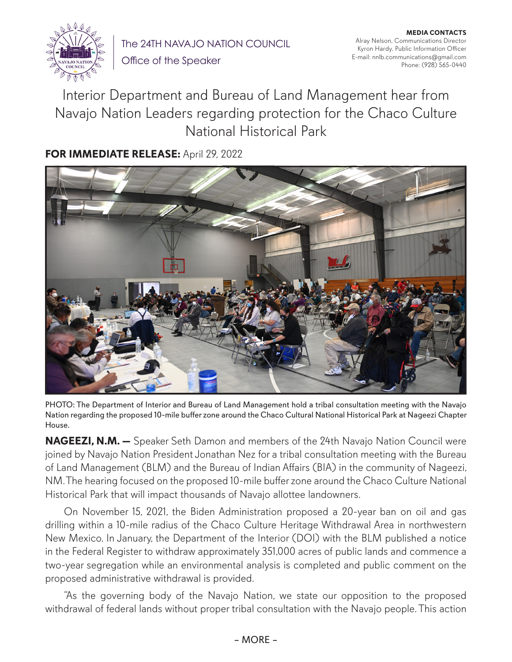

The 24TH NAVAJO NATION COUNCIL Office of the Speaker

**MEDIA CONTACTS** Alray Nelson, Communications Director Kyron Hardy, Public Information Officer E-mail: nnlb.communications@gmail.com Phone: (928) 565-0440

## Interior Department and Bureau of Land Management hear from Navajo Nation Leaders regarding protection for the Chaco Culture National Historical Park

## **FOR IMMEDIATE RELEASE:** April 29, 2022



PHOTO: The Department of Interior and Bureau of Land Management hold a tribal consultation meeting with the Navajo Nation regarding the proposed 10-mile buffer zone around the Chaco Cultural National Historical Park at Nageezi Chapter House.

**NAGEEZI, N.M. —** Speaker Seth Damon and members of the 24th Navajo Nation Council were joined by Navajo Nation President Jonathan Nez for a tribal consultation meeting with the Bureau of Land Management (BLM) and the Bureau of Indian Affairs (BIA) in the community of Nageezi, NM. The hearing focused on the proposed 10-mile buffer zone around the Chaco Culture National Historical Park that will impact thousands of Navajo allottee landowners.

On November 15, 2021, the Biden Administration proposed a 20-year ban on oil and gas drilling within a 10-mile radius of the Chaco Culture Heritage Withdrawal Area in northwestern New Mexico. In January, the Department of the Interior (DOI) with the BLM published a notice in the Federal Register to withdraw approximately 351,000 acres of public lands and commence a two-year segregation while an environmental analysis is completed and public comment on the proposed administrative withdrawal is provided.

"As the governing body of the Navajo Nation, we state our opposition to the proposed withdrawal of federal lands without proper tribal consultation with the Navajo people. This action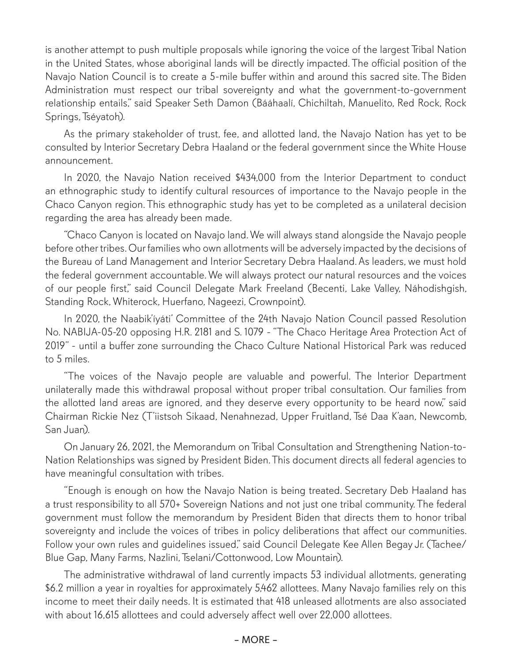is another attempt to push multiple proposals while ignoring the voice of the largest Tribal Nation in the United States, whose aboriginal lands will be directly impacted. The official position of the Navajo Nation Council is to create a 5-mile buffer within and around this sacred site. The Biden Administration must respect our tribal sovereignty and what the government-to-government relationship entails," said Speaker Seth Damon (Bááhaalí, Chichiltah, Manuelito, Red Rock, Rock Springs, Tséyatoh).

As the primary stakeholder of trust, fee, and allotted land, the Navajo Nation has yet to be consulted by Interior Secretary Debra Haaland or the federal government since the White House announcement.

In 2020, the Navajo Nation received \$434,000 from the Interior Department to conduct an ethnographic study to identify cultural resources of importance to the Navajo people in the Chaco Canyon region. This ethnographic study has yet to be completed as a unilateral decision regarding the area has already been made.

"Chaco Canyon is located on Navajo land. We will always stand alongside the Navajo people before other tribes. Our families who own allotments will be adversely impacted by the decisions of the Bureau of Land Management and Interior Secretary Debra Haaland. As leaders, we must hold the federal government accountable. We will always protect our natural resources and the voices of our people first," said Council Delegate Mark Freeland (Becenti, Lake Valley, Náhodishgish, Standing Rock, Whiterock, Huerfano, Nageezi, Crownpoint).

In 2020, the Naabik'íyáti' Committee of the 24th Navajo Nation Council passed Resolution No. NABIJA-05-20 opposing H.R. 2181 and S. 1079 - "The Chaco Heritage Area Protection Act of 2019" - until a buffer zone surrounding the Chaco Culture National Historical Park was reduced to 5 miles.

"The voices of the Navajo people are valuable and powerful. The Interior Department unilaterally made this withdrawal proposal without proper tribal consultation. Our families from the allotted land areas are ignored, and they deserve every opportunity to be heard now," said Chairman Rickie Nez (T'iistsoh Sikaad, Nenahnezad, Upper Fruitland, Tsé Daa K'aan, Newcomb, San Juan).

On January 26, 2021, the Memorandum on Tribal Consultation and Strengthening Nation-to-Nation Relationships was signed by President Biden. This document directs all federal agencies to have meaningful consultation with tribes.

"Enough is enough on how the Navajo Nation is being treated. Secretary Deb Haaland has a trust responsibility to all 570+ Sovereign Nations and not just one tribal community. The federal government must follow the memorandum by President Biden that directs them to honor tribal sovereignty and include the voices of tribes in policy deliberations that affect our communities. Follow your own rules and guidelines issued," said Council Delegate Kee Allen Begay Jr. (Tachee/ Blue Gap, Many Farms, Nazlini, Tselani/Cottonwood, Low Mountain).

The administrative withdrawal of land currently impacts 53 individual allotments, generating \$6.2 million a year in royalties for approximately 5,462 allottees. Many Navajo families rely on this income to meet their daily needs. It is estimated that 418 unleased allotments are also associated with about 16,615 allottees and could adversely affect well over 22,000 allottees.